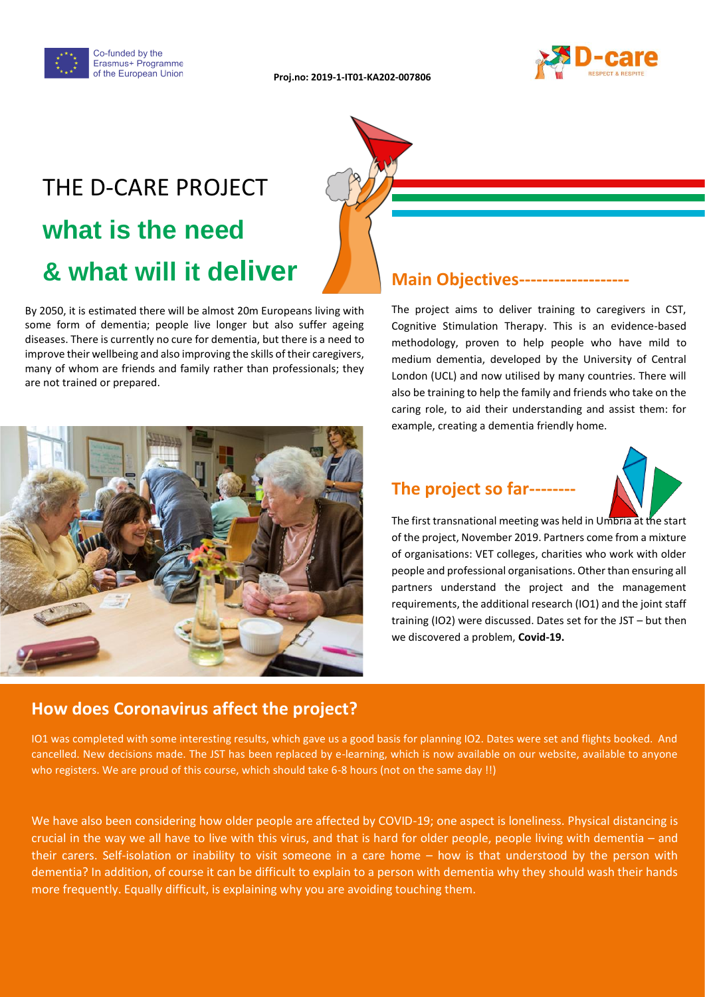



# THE D-CARE PROJECT **what is the need & what will it deliver**

By 2050, it is estimated there will be almost 20m Europeans living with some form of dementia; people live longer but also suffer ageing diseases. There is currently no cure for dementia, but there is a need to improve their wellbeing and also improving the skills of their caregivers, many of whom are friends and family rather than professionals; they are not trained or prepared.



#### **Main Objectives----**

The project aims to deliver training to caregivers in CST, Cognitive Stimulation Therapy. This is an evidence-based methodology, proven to help people who have mild to medium dementia, developed by the University of Central London (UCL) and now utilised by many countries. There will also be training to help the family and friends who take on the caring role, to aid their understanding and assist them: for example, creating a dementia friendly home.

### **The project so far--------**



The first transnational meeting was held in Umbria at the start of the project, November 2019. Partners come from a mixture of organisations: VET colleges, charities who work with older people and professional organisations. Other than ensuring all partners understand the project and the management requirements, the additional research (IO1) and the joint staff training (IO2) were discussed. Dates set for the JST – but then we discovered a problem, **Covid-19.** 

#### **How does Coronavirus affect the project?**

IO1 was completed with some interesting results, which gave us a good basis for planning IO2. Dates were set and flights booked. And cancelled. New decisions made. The JST has been replaced by e-learning, which is now available on our website, available to anyone who registers. We are proud of this course, which should take 6-8 hours (not on the same day !!)

We have also been considering how older people are affected by COVID-19; one aspect is loneliness. Physical distancing is crucial in the way we all have to live with this virus, and that is hard for older people, people living with dementia – and their carers. Self-isolation or inability to visit someone in a care home – how is that understood by the person with dementia? In addition, of course it can be difficult to explain to a person with dementia why they should wash their hands more frequently. Equally difficult, is explaining why you are avoiding touching them.